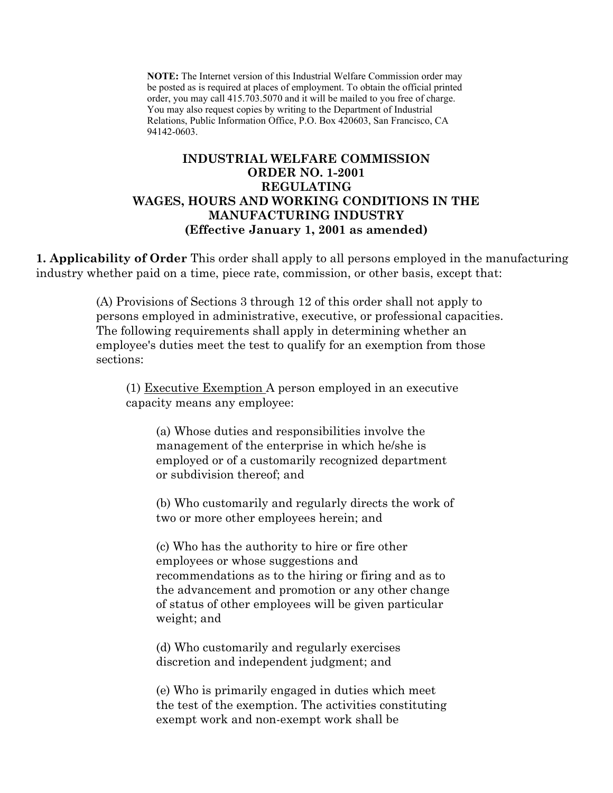**NOTE:** The Internet version of this Industrial Welfare Commission order may order, you may call 415.703.5070 and it will be mailed to you free of charge. You may also request copies by writing to the Department of Industrial be posted as is required at places of employment. To obtain the official printed Relations, Public Information Office, P.O. Box 420603, San Francisco, CA 94142-0603.

### **INDUSTRIAL WELFARE COMMISSION ORDER NO. 1-2001 REGULATING WAGES, HOURS AND WORKING CONDITIONS IN THE MANUFACTURING INDUSTRY (Effective January 1, 2001 as amended)**

**1. Applicability of Order** This order shall apply to all persons employed in the manufacturing industry whether paid on a time, piece rate, commission, or other basis, except that:

> (A) Provisions of Sections 3 through 12 of this order shall not apply to persons employed in administrative, executive, or professional capacities. The following requirements shall apply in determining whether an employee's duties meet the test to qualify for an exemption from those sections:

(1) Executive Exemption A person employed in an executive capacity means any employee:

(a) Whose duties and responsibilities involve the management of the enterprise in which he/she is employed or of a customarily recognized department or subdivision thereof; and

(b) Who customarily and regularly directs the work of two or more other employees herein; and

(c) Who has the authority to hire or fire other employees or whose suggestions and recommendations as to the hiring or firing and as to the advancement and promotion or any other change of status of other employees will be given particular weight; and

(d) Who customarily and regularly exercises discretion and independent judgment; and

(e) Who is primarily engaged in duties which meet the test of the exemption. The activities constituting exempt work and non-exempt work shall be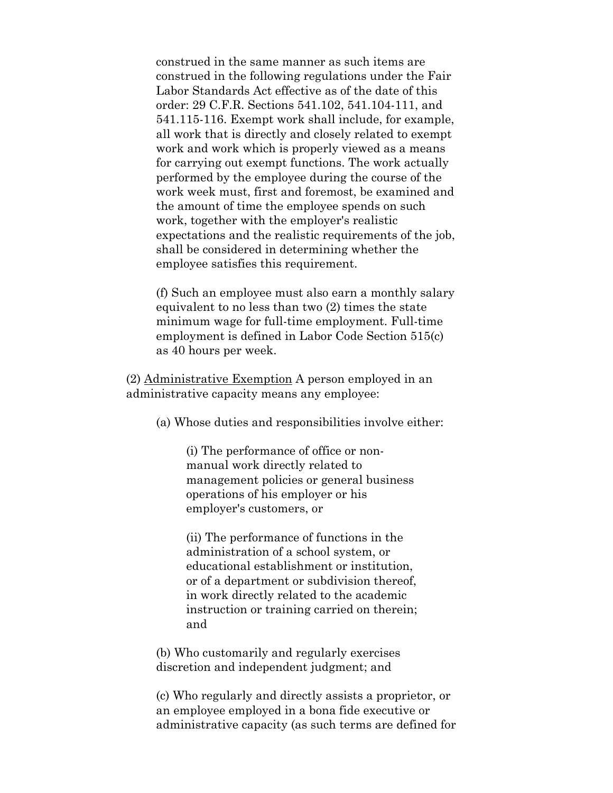construed in the same manner as such items are construed in the following regulations under the Fair Labor Standards Act effective as of the date of this order: 29 C.F.R. Sections 541.102, 541.104-111, and 541.115-116. Exempt work shall include, for example, all work that is directly and closely related to exempt work and work which is properly viewed as a means for carrying out exempt functions. The work actually performed by the employee during the course of the work week must, first and foremost, be examined and the amount of time the employee spends on such work, together with the employer's realistic expectations and the realistic requirements of the job, shall be considered in determining whether the employee satisfies this requirement.

(f) Such an employee must also earn a monthly salary equivalent to no less than two (2) times the state minimum wage for full-time employment. Full-time employment is defined in Labor Code Section 515(c) as 40 hours per week.

(2) Administrative Exemption A person employed in an administrative capacity means any employee:

(a) Whose duties and responsibilities involve either:

(i) The performance of office or nonmanual work directly related to management policies or general business operations of his employer or his employer's customers, or

(ii) The performance of functions in the administration of a school system, or educational establishment or institution, or of a department or subdivision thereof, in work directly related to the academic instruction or training carried on therein; and

(b) Who customarily and regularly exercises discretion and independent judgment; and

(c) Who regularly and directly assists a proprietor, or an employee employed in a bona fide executive or administrative capacity (as such terms are defined for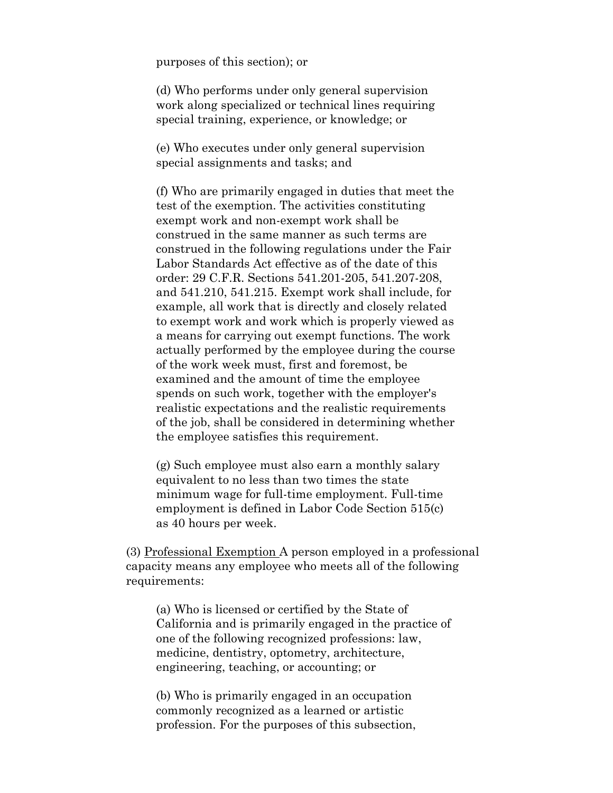purposes of this section); or

(d) Who performs under only general supervision work along specialized or technical lines requiring special training, experience, or knowledge; or

(e) Who executes under only general supervision special assignments and tasks; and

(f) Who are primarily engaged in duties that meet the test of the exemption. The activities constituting exempt work and non-exempt work shall be construed in the same manner as such terms are construed in the following regulations under the Fair Labor Standards Act effective as of the date of this order: 29 C.F.R. Sections 541.201-205, 541.207-208, and 541.210, 541.215. Exempt work shall include, for example, all work that is directly and closely related to exempt work and work which is properly viewed as a means for carrying out exempt functions. The work actually performed by the employee during the course of the work week must, first and foremost, be examined and the amount of time the employee spends on such work, together with the employer's realistic expectations and the realistic requirements of the job, shall be considered in determining whether the employee satisfies this requirement.

(g) Such employee must also earn a monthly salary equivalent to no less than two times the state minimum wage for full-time employment. Full-time employment is defined in Labor Code Section 515(c) as 40 hours per week.

(3) Professional Exemption A person employed in a professional capacity means any employee who meets all of the following requirements:

(a) Who is licensed or certified by the State of California and is primarily engaged in the practice of one of the following recognized professions: law, medicine, dentistry, optometry, architecture, engineering, teaching, or accounting; or

(b) Who is primarily engaged in an occupation commonly recognized as a learned or artistic profession. For the purposes of this subsection,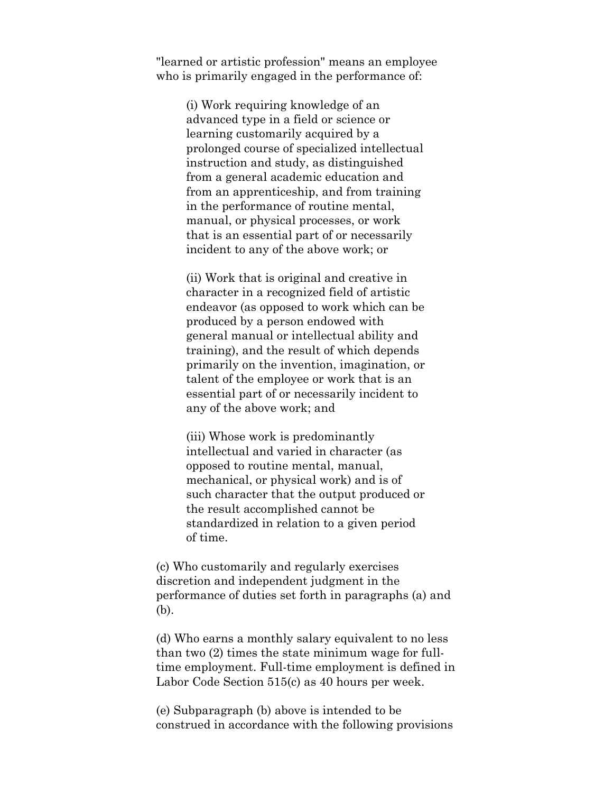"learned or artistic profession" means an employee who is primarily engaged in the performance of:

> (i) Work requiring knowledge of an advanced type in a field or science or learning customarily acquired by a prolonged course of specialized intellectual instruction and study, as distinguished from a general academic education and from an apprenticeship, and from training in the performance of routine mental, manual, or physical processes, or work that is an essential part of or necessarily incident to any of the above work; or

> (ii) Work that is original and creative in character in a recognized field of artistic endeavor (as opposed to work which can be produced by a person endowed with general manual or intellectual ability and training), and the result of which depends primarily on the invention, imagination, or talent of the employee or work that is an essential part of or necessarily incident to any of the above work; and

> (iii) Whose work is predominantly intellectual and varied in character (as opposed to routine mental, manual, mechanical, or physical work) and is of such character that the output produced or the result accomplished cannot be standardized in relation to a given period of time.

(c) Who customarily and regularly exercises discretion and independent judgment in the performance of duties set forth in paragraphs (a) and (b).

(d) Who earns a monthly salary equivalent to no less than two (2) times the state minimum wage for fulltime employment. Full-time employment is defined in Labor Code Section 515(c) as 40 hours per week.

(e) Subparagraph (b) above is intended to be construed in accordance with the following provisions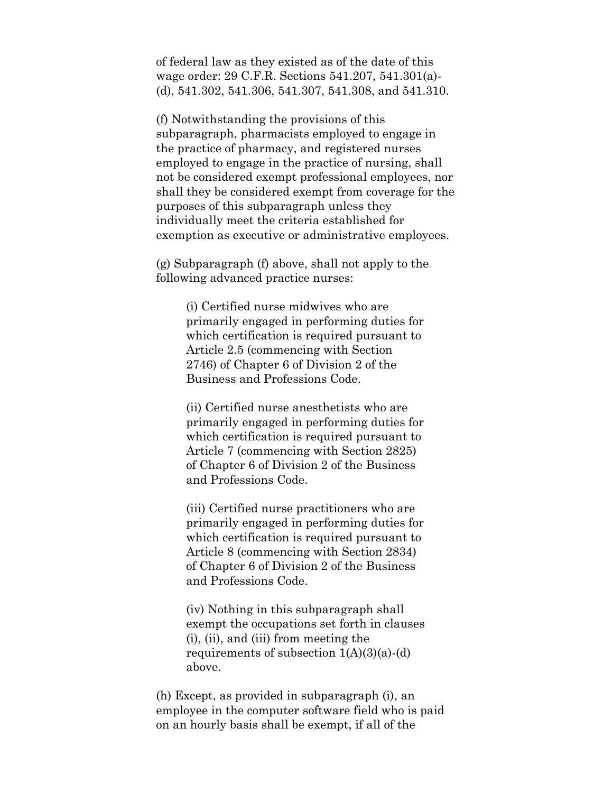of federal law as they existed as of the date of this wage order: 29 C.F.R. Sections 541.207, 541.301(a) (d), 541.302, 541.306, 541.307, 541.308, and 541.310.

(f) Notwithstanding the provisions of this subparagraph, pharmacists employed to engage in the practice of pharmacy, and registered nurses employed to engage in the practice of nursing, shall not be considered exempt professional employees, nor shall they be considered exempt from coverage for the purposes of this subparagraph unless they individually meet the criteria established for exemption as executive or administrative employees.

(g) Subparagraph (f) above, shall not apply to the following advanced practice nurses:

> (i) Certified nurse midwives who are primarily engaged in performing duties for which certification is required pursuant to Article 2.5 (commencing with Section 2746) of Chapter 6 of Division 2 of the Business and Professions Code.

> (ii) Certified nurse anesthetists who are primarily engaged in performing duties for which certification is required pursuant to Article 7 (commencing with Section 2825) of Chapter 6 of Division 2 of the Business and Professions Code.

> (iii) Certified nurse practitioners who are primarily engaged in performing duties for which certification is required pursuant to Article 8 (commencing with Section 2834) of Chapter 6 of Division 2 of the Business and Professions Code.

> (iv) Nothing in this subparagraph shall exempt the occupations set forth in clauses (i), (ii), and (iii) from meeting the requirements of subsection  $1(A)(3)(a)-(d)$ above.

(h) Except, as provided in subparagraph (i), an employee in the computer software field who is paid on an hourly basis shall be exempt, if all of the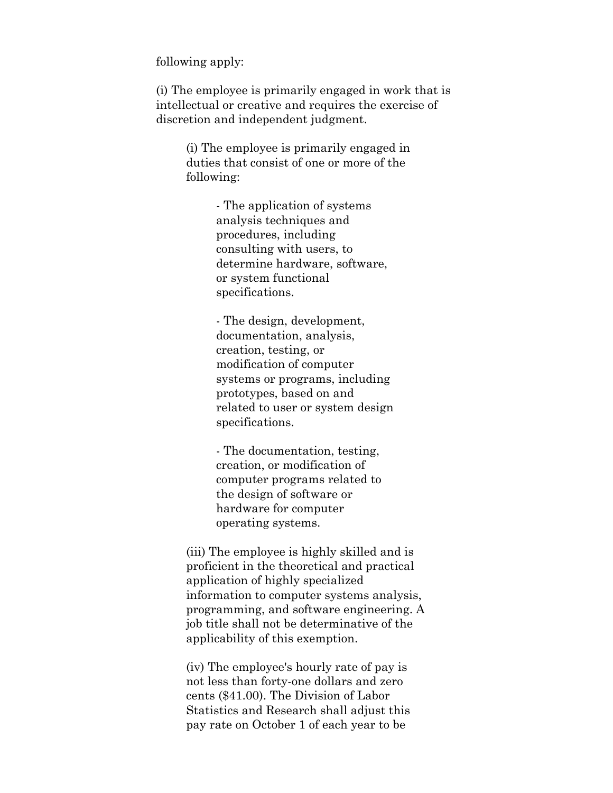following apply:

(i) The employee is primarily engaged in work that is intellectual or creative and requires the exercise of discretion and independent judgment.

> (i) The employee is primarily engaged in duties that consist of one or more of the following:

> > - The application of systems analysis techniques and procedures, including consulting with users, to determine hardware, software, or system functional specifications.

- The design, development, documentation, analysis, creation, testing, or modification of computer systems or programs, including prototypes, based on and related to user or system design specifications.

- The documentation, testing, creation, or modification of computer programs related to the design of software or hardware for computer operating systems.

(iii) The employee is highly skilled and is proficient in the theoretical and practical application of highly specialized information to computer systems analysis, programming, and software engineering. A job title shall not be determinative of the applicability of this exemption.

(iv) The employee's hourly rate of pay is not less than forty-one dollars and zero cents (\$41.00). The Division of Labor Statistics and Research shall adjust this pay rate on October 1 of each year to be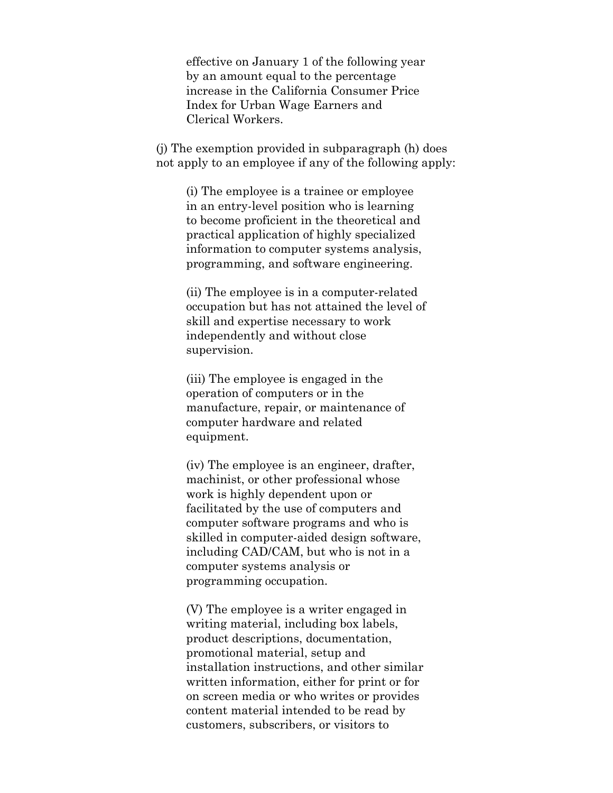effective on January 1 of the following year by an amount equal to the percentage increase in the California Consumer Price Index for Urban Wage Earners and Clerical Workers.

(j) The exemption provided in subparagraph (h) does not apply to an employee if any of the following apply:

(i) The employee is a trainee or employee in an entry-level position who is learning to become proficient in the theoretical and practical application of highly specialized information to computer systems analysis, programming, and software engineering.

(ii) The employee is in a computer-related occupation but has not attained the level of skill and expertise necessary to work independently and without close supervision.

(iii) The employee is engaged in the operation of computers or in the manufacture, repair, or maintenance of computer hardware and related equipment.

(iv) The employee is an engineer, drafter, machinist, or other professional whose work is highly dependent upon or facilitated by the use of computers and computer software programs and who is skilled in computer-aided design software, including CAD/CAM, but who is not in a computer systems analysis or programming occupation.

(V) The employee is a writer engaged in writing material, including box labels, product descriptions, documentation, promotional material, setup and installation instructions, and other similar written information, either for print or for on screen media or who writes or provides content material intended to be read by customers, subscribers, or visitors to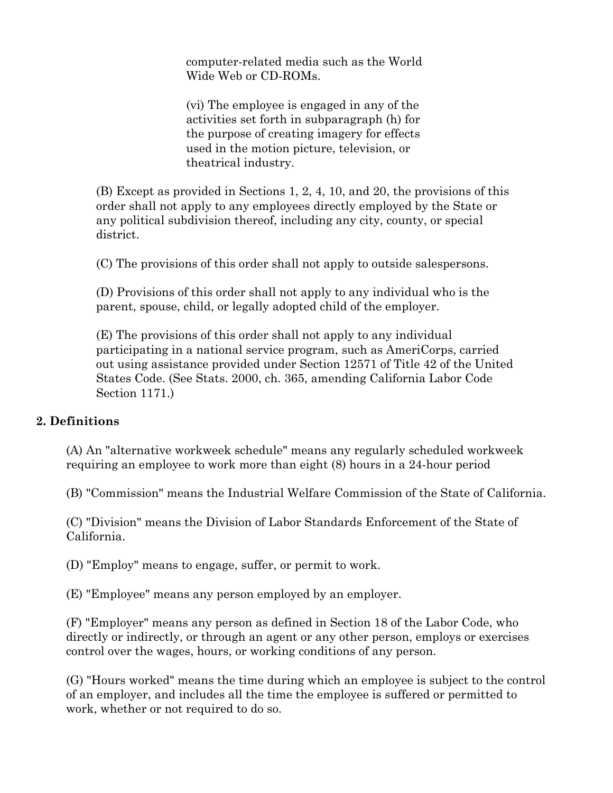computer-related media such as the World Wide Web or CD-ROMs.

(vi) The employee is engaged in any of the activities set forth in subparagraph (h) for the purpose of creating imagery for effects used in the motion picture, television, or theatrical industry.

(B) Except as provided in Sections 1, 2, 4, 10, and 20, the provisions of this order shall not apply to any employees directly employed by the State or any political subdivision thereof, including any city, county, or special district.

(C) The provisions of this order shall not apply to outside salespersons.

(D) Provisions of this order shall not apply to any individual who is the parent, spouse, child, or legally adopted child of the employer.

(E) The provisions of this order shall not apply to any individual participating in a national service program, such as AmeriCorps, carried out using assistance provided under Section 12571 of Title 42 of the United States Code. (See Stats. 2000, ch. 365, amending California Labor Code Section 1171.)

## **2. Definitions**

(A) An "alternative workweek schedule" means any regularly scheduled workweek requiring an employee to work more than eight (8) hours in a 24-hour period

(B) "Commission" means the Industrial Welfare Commission of the State of California.

(C) "Division" means the Division of Labor Standards Enforcement of the State of California.

(D) "Employ" means to engage, suffer, or permit to work.

(E) "Employee" means any person employed by an employer.

(F) "Employer" means any person as defined in Section 18 of the Labor Code, who directly or indirectly, or through an agent or any other person, employs or exercises control over the wages, hours, or working conditions of any person.

(G) "Hours worked" means the time during which an employee is subject to the control of an employer, and includes all the time the employee is suffered or permitted to work, whether or not required to do so.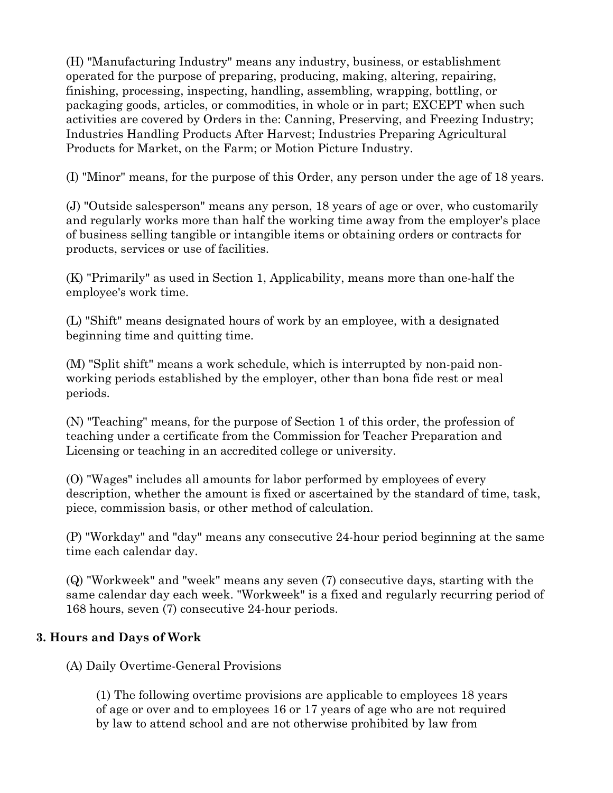(H) "Manufacturing Industry" means any industry, business, or establishment operated for the purpose of preparing, producing, making, altering, repairing, finishing, processing, inspecting, handling, assembling, wrapping, bottling, or packaging goods, articles, or commodities, in whole or in part; EXCEPT when such activities are covered by Orders in the: Canning, Preserving, and Freezing Industry; Industries Handling Products After Harvest; Industries Preparing Agricultural Products for Market, on the Farm; or Motion Picture Industry.

(I) "Minor" means, for the purpose of this Order, any person under the age of 18 years.

(J) "Outside salesperson" means any person, 18 years of age or over, who customarily and regularly works more than half the working time away from the employer's place of business selling tangible or intangible items or obtaining orders or contracts for products, services or use of facilities.

(K) "Primarily" as used in Section 1, Applicability, means more than one-half the employee's work time.

(L) "Shift" means designated hours of work by an employee, with a designated beginning time and quitting time.

(M) "Split shift" means a work schedule, which is interrupted by non-paid nonworking periods established by the employer, other than bona fide rest or meal periods.

(N) "Teaching" means, for the purpose of Section 1 of this order, the profession of teaching under a certificate from the Commission for Teacher Preparation and Licensing or teaching in an accredited college or university.

(O) "Wages" includes all amounts for labor performed by employees of every description, whether the amount is fixed or ascertained by the standard of time, task, piece, commission basis, or other method of calculation.

(P) "Workday" and "day" means any consecutive 24-hour period beginning at the same time each calendar day.

(Q) "Workweek" and "week" means any seven (7) consecutive days, starting with the same calendar day each week. "Workweek" is a fixed and regularly recurring period of 168 hours, seven (7) consecutive 24-hour periods.

# **3. Hours and Days of Work**

(A) Daily Overtime-General Provisions

(1) The following overtime provisions are applicable to employees 18 years of age or over and to employees 16 or 17 years of age who are not required by law to attend school and are not otherwise prohibited by law from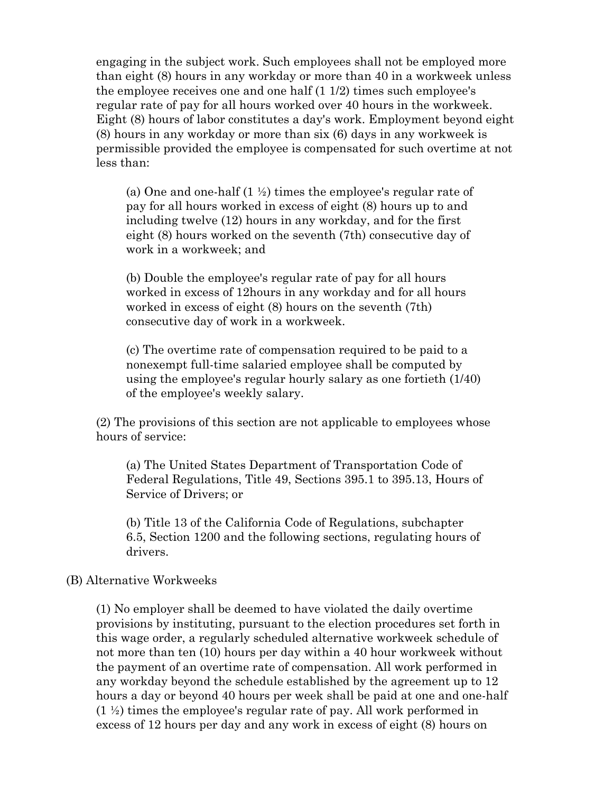engaging in the subject work. Such employees shall not be employed more than eight (8) hours in any workday or more than 40 in a workweek unless the employee receives one and one half (1 1/2) times such employee's regular rate of pay for all hours worked over 40 hours in the workweek. Eight (8) hours of labor constitutes a day's work. Employment beyond eight (8) hours in any workday or more than six (6) days in any workweek is permissible provided the employee is compensated for such overtime at not less than:

(a) One and one-half  $(1 \frac{1}{2})$  times the employee's regular rate of pay for all hours worked in excess of eight (8) hours up to and including twelve (12) hours in any workday, and for the first eight (8) hours worked on the seventh (7th) consecutive day of work in a workweek; and

(b) Double the employee's regular rate of pay for all hours worked in excess of 12hours in any workday and for all hours worked in excess of eight (8) hours on the seventh (7th) consecutive day of work in a workweek.

(c) The overtime rate of compensation required to be paid to a nonexempt full-time salaried employee shall be computed by using the employee's regular hourly salary as one fortieth (1/40) of the employee's weekly salary.

(2) The provisions of this section are not applicable to employees whose hours of service:

(a) The United States Department of Transportation Code of Federal Regulations, Title 49, Sections 395.1 to 395.13, Hours of Service of Drivers; or

(b) Title 13 of the California Code of Regulations, subchapter 6.5, Section 1200 and the following sections, regulating hours of drivers.

#### (B) Alternative Workweeks

(1) No employer shall be deemed to have violated the daily overtime provisions by instituting, pursuant to the election procedures set forth in this wage order, a regularly scheduled alternative workweek schedule of not more than ten (10) hours per day within a 40 hour workweek without the payment of an overtime rate of compensation. All work performed in any workday beyond the schedule established by the agreement up to 12 hours a day or beyond 40 hours per week shall be paid at one and one-half  $(1 \frac{1}{2})$  times the employee's regular rate of pay. All work performed in excess of 12 hours per day and any work in excess of eight (8) hours on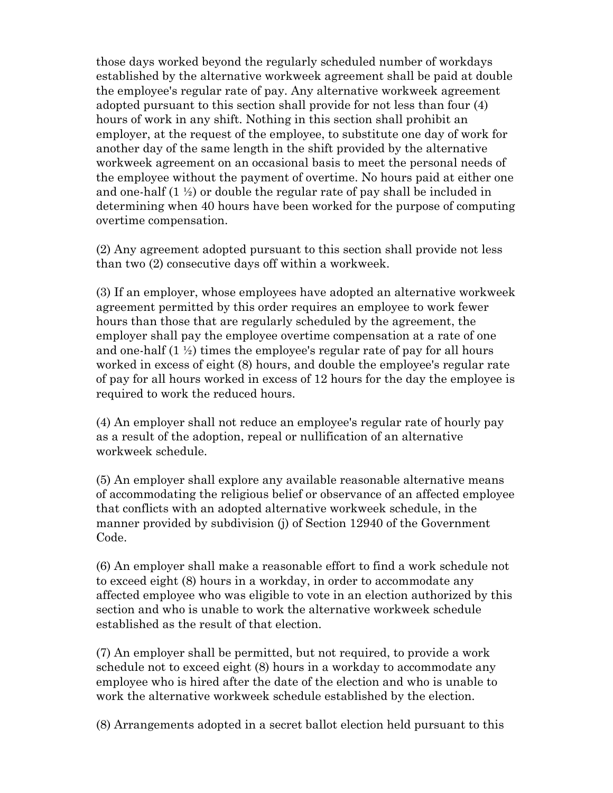those days worked beyond the regularly scheduled number of workdays established by the alternative workweek agreement shall be paid at double the employee's regular rate of pay. Any alternative workweek agreement adopted pursuant to this section shall provide for not less than four (4) hours of work in any shift. Nothing in this section shall prohibit an employer, at the request of the employee, to substitute one day of work for another day of the same length in the shift provided by the alternative workweek agreement on an occasional basis to meet the personal needs of the employee without the payment of overtime. No hours paid at either one and one-half  $(1 \frac{1}{2})$  or double the regular rate of pay shall be included in determining when 40 hours have been worked for the purpose of computing overtime compensation.

(2) Any agreement adopted pursuant to this section shall provide not less than two (2) consecutive days off within a workweek.

(3) If an employer, whose employees have adopted an alternative workweek agreement permitted by this order requires an employee to work fewer hours than those that are regularly scheduled by the agreement, the employer shall pay the employee overtime compensation at a rate of one and one-half  $(1 \frac{1}{2})$  times the employee's regular rate of pay for all hours worked in excess of eight (8) hours, and double the employee's regular rate of pay for all hours worked in excess of 12 hours for the day the employee is required to work the reduced hours.

(4) An employer shall not reduce an employee's regular rate of hourly pay as a result of the adoption, repeal or nullification of an alternative workweek schedule.

(5) An employer shall explore any available reasonable alternative means of accommodating the religious belief or observance of an affected employee that conflicts with an adopted alternative workweek schedule, in the manner provided by subdivision (j) of Section 12940 of the Government Code.

(6) An employer shall make a reasonable effort to find a work schedule not to exceed eight (8) hours in a workday, in order to accommodate any affected employee who was eligible to vote in an election authorized by this section and who is unable to work the alternative workweek schedule established as the result of that election.

(7) An employer shall be permitted, but not required, to provide a work schedule not to exceed eight (8) hours in a workday to accommodate any employee who is hired after the date of the election and who is unable to work the alternative workweek schedule established by the election.

(8) Arrangements adopted in a secret ballot election held pursuant to this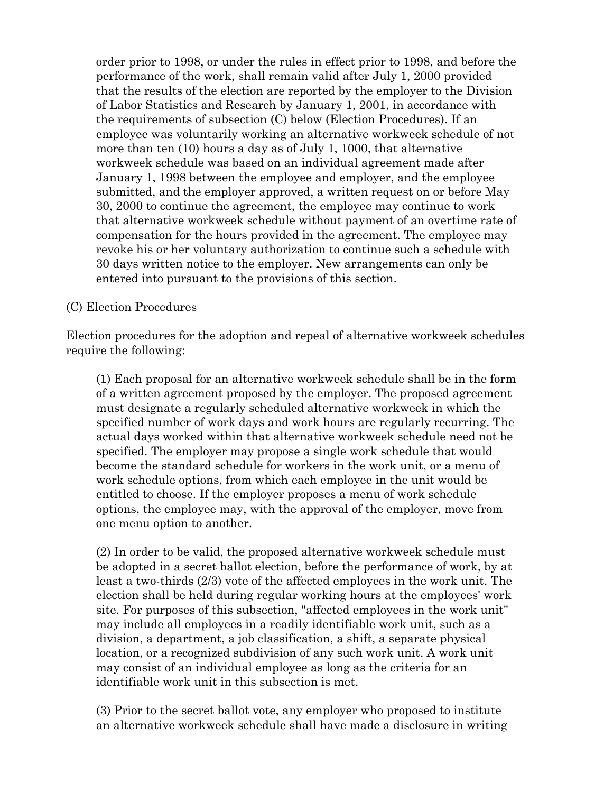order prior to 1998, or under the rules in effect prior to 1998, and before the performance of the work, shall remain valid after July 1, 2000 provided that the results of the election are reported by the employer to the Division of Labor Statistics and Research by January 1, 2001, in accordance with the requirements of subsection (C) below (Election Procedures). If an employee was voluntarily working an alternative workweek schedule of not more than ten (10) hours a day as of July 1, 1000, that alternative workweek schedule was based on an individual agreement made after January 1, 1998 between the employee and employer, and the employee submitted, and the employer approved, a written request on or before May 30, 2000 to continue the agreement, the employee may continue to work that alternative workweek schedule without payment of an overtime rate of compensation for the hours provided in the agreement. The employee may revoke his or her voluntary authorization to continue such a schedule with 30 days written notice to the employer. New arrangements can only be entered into pursuant to the provisions of this section.

### (C) Election Procedures

Election procedures for the adoption and repeal of alternative workweek schedules require the following:

(1) Each proposal for an alternative workweek schedule shall be in the form of a written agreement proposed by the employer. The proposed agreement must designate a regularly scheduled alternative workweek in which the specified number of work days and work hours are regularly recurring. The actual days worked within that alternative workweek schedule need not be specified. The employer may propose a single work schedule that would become the standard schedule for workers in the work unit, or a menu of work schedule options, from which each employee in the unit would be entitled to choose. If the employer proposes a menu of work schedule options, the employee may, with the approval of the employer, move from one menu option to another.

(2) In order to be valid, the proposed alternative workweek schedule must be adopted in a secret ballot election, before the performance of work, by at least a two-thirds (2/3) vote of the affected employees in the work unit. The election shall be held during regular working hours at the employees' work site. For purposes of this subsection, "affected employees in the work unit" may include all employees in a readily identifiable work unit, such as a division, a department, a job classification, a shift, a separate physical location, or a recognized subdivision of any such work unit. A work unit may consist of an individual employee as long as the criteria for an identifiable work unit in this subsection is met.

(3) Prior to the secret ballot vote, any employer who proposed to institute an alternative workweek schedule shall have made a disclosure in writing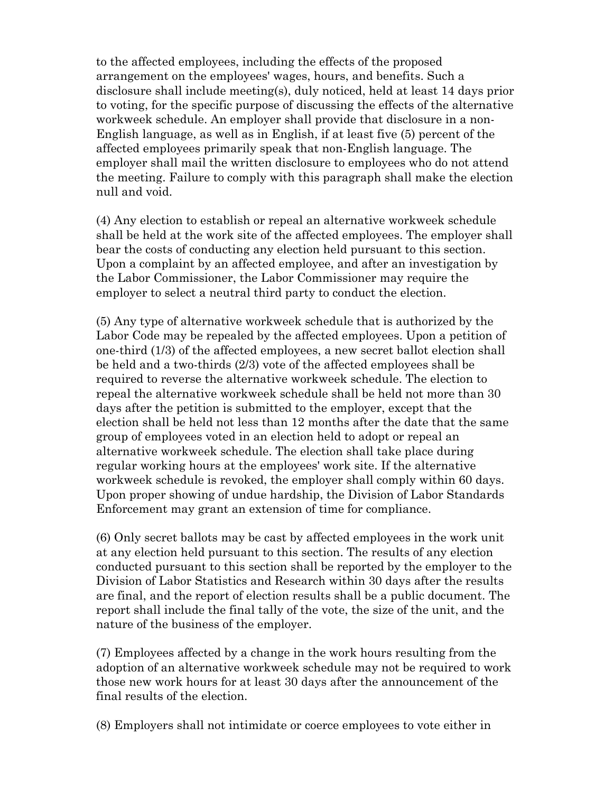to the affected employees, including the effects of the proposed arrangement on the employees' wages, hours, and benefits. Such a disclosure shall include meeting(s), duly noticed, held at least 14 days prior to voting, for the specific purpose of discussing the effects of the alternative workweek schedule. An employer shall provide that disclosure in a non-English language, as well as in English, if at least five (5) percent of the affected employees primarily speak that non-English language. The employer shall mail the written disclosure to employees who do not attend the meeting. Failure to comply with this paragraph shall make the election null and void.

(4) Any election to establish or repeal an alternative workweek schedule shall be held at the work site of the affected employees. The employer shall bear the costs of conducting any election held pursuant to this section. Upon a complaint by an affected employee, and after an investigation by the Labor Commissioner, the Labor Commissioner may require the employer to select a neutral third party to conduct the election.

(5) Any type of alternative workweek schedule that is authorized by the Labor Code may be repealed by the affected employees. Upon a petition of one-third (1/3) of the affected employees, a new secret ballot election shall be held and a two-thirds (2/3) vote of the affected employees shall be required to reverse the alternative workweek schedule. The election to repeal the alternative workweek schedule shall be held not more than 30 days after the petition is submitted to the employer, except that the election shall be held not less than 12 months after the date that the same group of employees voted in an election held to adopt or repeal an alternative workweek schedule. The election shall take place during regular working hours at the employees' work site. If the alternative workweek schedule is revoked, the employer shall comply within 60 days. Upon proper showing of undue hardship, the Division of Labor Standards Enforcement may grant an extension of time for compliance.

(6) Only secret ballots may be cast by affected employees in the work unit at any election held pursuant to this section. The results of any election conducted pursuant to this section shall be reported by the employer to the Division of Labor Statistics and Research within 30 days after the results are final, and the report of election results shall be a public document. The report shall include the final tally of the vote, the size of the unit, and the nature of the business of the employer.

(7) Employees affected by a change in the work hours resulting from the adoption of an alternative workweek schedule may not be required to work those new work hours for at least 30 days after the announcement of the final results of the election.

(8) Employers shall not intimidate or coerce employees to vote either in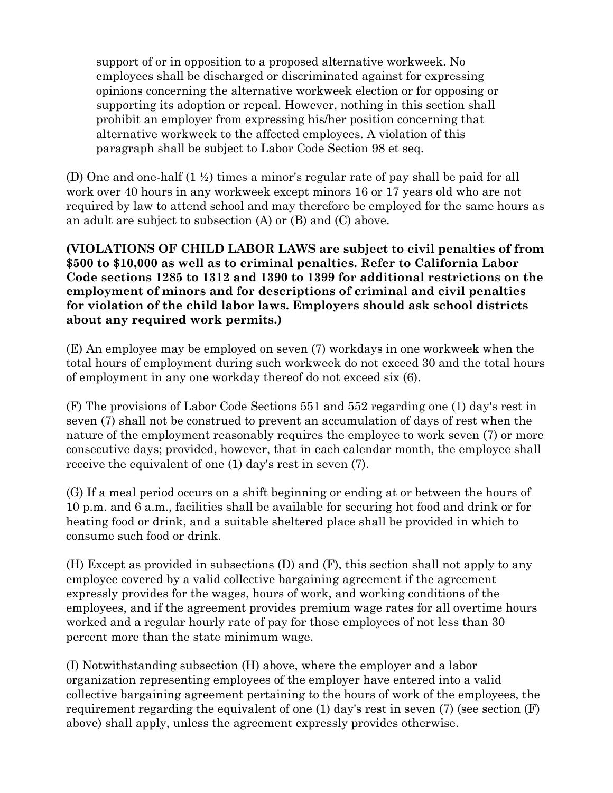support of or in opposition to a proposed alternative workweek. No employees shall be discharged or discriminated against for expressing opinions concerning the alternative workweek election or for opposing or supporting its adoption or repeal. However, nothing in this section shall prohibit an employer from expressing his/her position concerning that alternative workweek to the affected employees. A violation of this paragraph shall be subject to Labor Code Section 98 et seq.

(D) One and one-half (1 ½) times a minor's regular rate of pay shall be paid for all work over 40 hours in any workweek except minors 16 or 17 years old who are not required by law to attend school and may therefore be employed for the same hours as an adult are subject to subsection (A) or (B) and (C) above.

### **(VIOLATIONS OF CHILD LABOR LAWS are subject to civil penalties of from \$500 to \$10,000 as well as to criminal penalties. Refer to California Labor Code sections 1285 to 1312 and 1390 to 1399 for additional restrictions on the employment of minors and for descriptions of criminal and civil penalties for violation of the child labor laws. Employers should ask school districts about any required work permits.)**

(E) An employee may be employed on seven (7) workdays in one workweek when the total hours of employment during such workweek do not exceed 30 and the total hours of employment in any one workday thereof do not exceed six (6).

(F) The provisions of Labor Code Sections 551 and 552 regarding one (1) day's rest in seven (7) shall not be construed to prevent an accumulation of days of rest when the nature of the employment reasonably requires the employee to work seven (7) or more consecutive days; provided, however, that in each calendar month, the employee shall receive the equivalent of one (1) day's rest in seven (7).

(G) If a meal period occurs on a shift beginning or ending at or between the hours of 10 p.m. and 6 a.m., facilities shall be available for securing hot food and drink or for heating food or drink, and a suitable sheltered place shall be provided in which to consume such food or drink.

(H) Except as provided in subsections (D) and (F), this section shall not apply to any employee covered by a valid collective bargaining agreement if the agreement expressly provides for the wages, hours of work, and working conditions of the employees, and if the agreement provides premium wage rates for all overtime hours worked and a regular hourly rate of pay for those employees of not less than 30 percent more than the state minimum wage.

(I) Notwithstanding subsection (H) above, where the employer and a labor organization representing employees of the employer have entered into a valid collective bargaining agreement pertaining to the hours of work of the employees, the requirement regarding the equivalent of one (1) day's rest in seven (7) (see section (F) above) shall apply, unless the agreement expressly provides otherwise.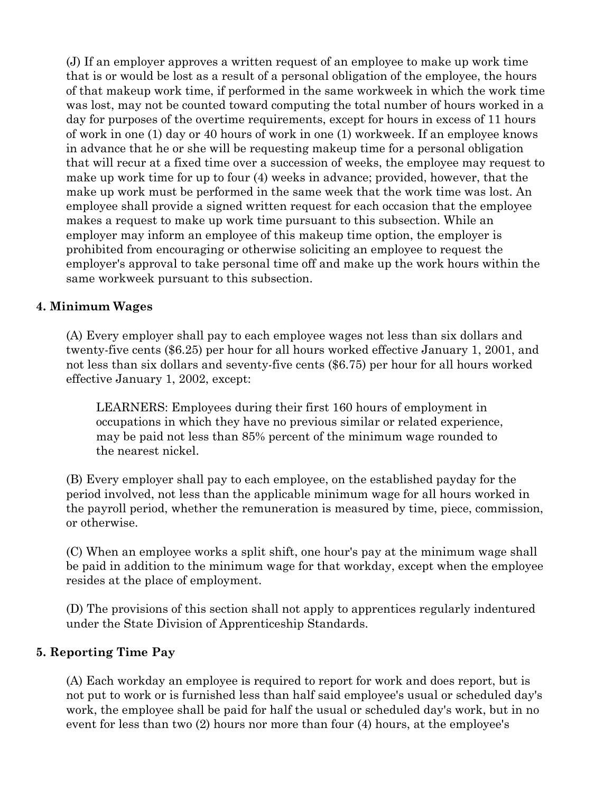(J) If an employer approves a written request of an employee to make up work time that is or would be lost as a result of a personal obligation of the employee, the hours of that makeup work time, if performed in the same workweek in which the work time was lost, may not be counted toward computing the total number of hours worked in a day for purposes of the overtime requirements, except for hours in excess of 11 hours of work in one (1) day or 40 hours of work in one (1) workweek. If an employee knows in advance that he or she will be requesting makeup time for a personal obligation that will recur at a fixed time over a succession of weeks, the employee may request to make up work time for up to four (4) weeks in advance; provided, however, that the make up work must be performed in the same week that the work time was lost. An employee shall provide a signed written request for each occasion that the employee makes a request to make up work time pursuant to this subsection. While an employer may inform an employee of this makeup time option, the employer is prohibited from encouraging or otherwise soliciting an employee to request the employer's approval to take personal time off and make up the work hours within the same workweek pursuant to this subsection.

### **4. Minimum Wages**

(A) Every employer shall pay to each employee wages not less than six dollars and twenty-five cents (\$6.25) per hour for all hours worked effective January 1, 2001, and not less than six dollars and seventy-five cents (\$6.75) per hour for all hours worked effective January 1, 2002, except:

LEARNERS: Employees during their first 160 hours of employment in occupations in which they have no previous similar or related experience, may be paid not less than 85% percent of the minimum wage rounded to the nearest nickel.

(B) Every employer shall pay to each employee, on the established payday for the period involved, not less than the applicable minimum wage for all hours worked in the payroll period, whether the remuneration is measured by time, piece, commission, or otherwise.

(C) When an employee works a split shift, one hour's pay at the minimum wage shall be paid in addition to the minimum wage for that workday, except when the employee resides at the place of employment.

(D) The provisions of this section shall not apply to apprentices regularly indentured under the State Division of Apprenticeship Standards.

### **5. Reporting Time Pay**

(A) Each workday an employee is required to report for work and does report, but is not put to work or is furnished less than half said employee's usual or scheduled day's work, the employee shall be paid for half the usual or scheduled day's work, but in no event for less than two (2) hours nor more than four (4) hours, at the employee's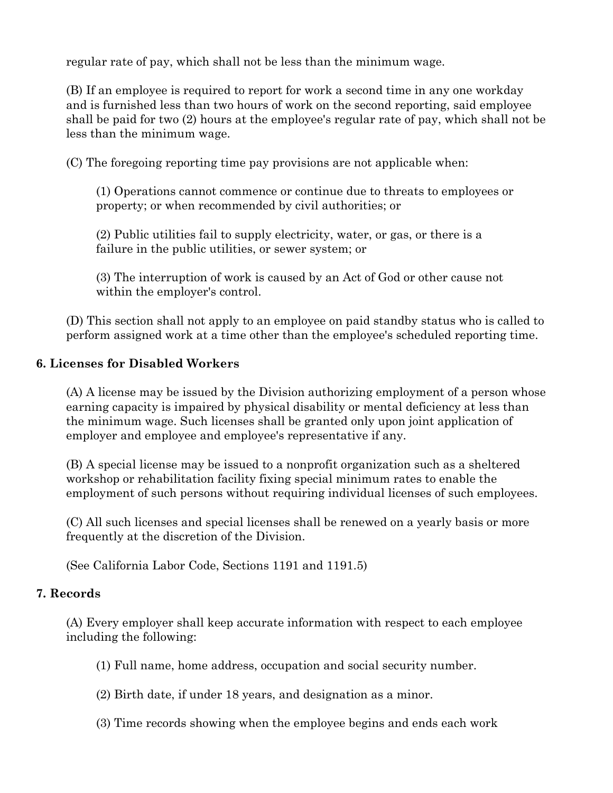regular rate of pay, which shall not be less than the minimum wage.

(B) If an employee is required to report for work a second time in any one workday and is furnished less than two hours of work on the second reporting, said employee shall be paid for two (2) hours at the employee's regular rate of pay, which shall not be less than the minimum wage.

(C) The foregoing reporting time pay provisions are not applicable when:

(1) Operations cannot commence or continue due to threats to employees or property; or when recommended by civil authorities; or

(2) Public utilities fail to supply electricity, water, or gas, or there is a failure in the public utilities, or sewer system; or

(3) The interruption of work is caused by an Act of God or other cause not within the employer's control.

(D) This section shall not apply to an employee on paid standby status who is called to perform assigned work at a time other than the employee's scheduled reporting time.

## **6. Licenses for Disabled Workers**

(A) A license may be issued by the Division authorizing employment of a person whose earning capacity is impaired by physical disability or mental deficiency at less than the minimum wage. Such licenses shall be granted only upon joint application of employer and employee and employee's representative if any.

(B) A special license may be issued to a nonprofit organization such as a sheltered workshop or rehabilitation facility fixing special minimum rates to enable the employment of such persons without requiring individual licenses of such employees.

(C) All such licenses and special licenses shall be renewed on a yearly basis or more frequently at the discretion of the Division.

(See California Labor Code, Sections 1191 and 1191.5)

## **7. Records**

(A) Every employer shall keep accurate information with respect to each employee including the following:

- (1) Full name, home address, occupation and social security number.
- (2) Birth date, if under 18 years, and designation as a minor.
- (3) Time records showing when the employee begins and ends each work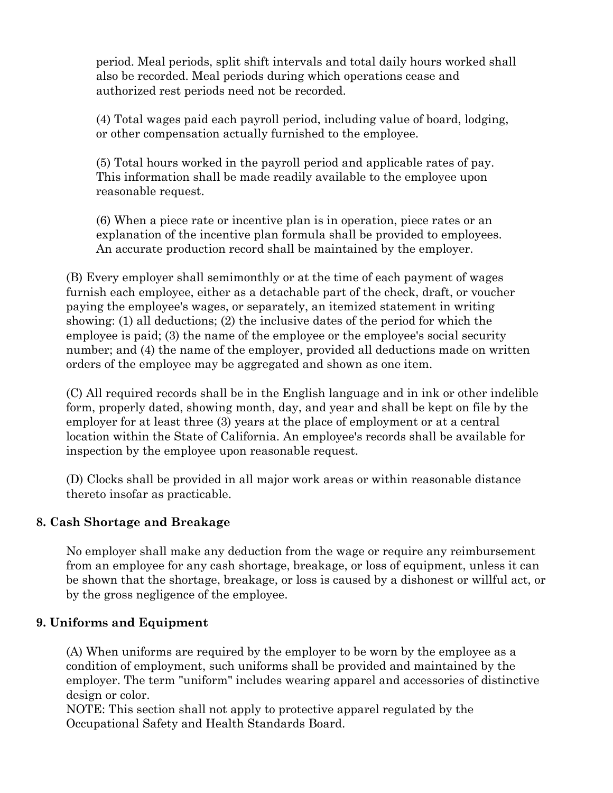period. Meal periods, split shift intervals and total daily hours worked shall also be recorded. Meal periods during which operations cease and authorized rest periods need not be recorded.

(4) Total wages paid each payroll period, including value of board, lodging, or other compensation actually furnished to the employee.

(5) Total hours worked in the payroll period and applicable rates of pay. This information shall be made readily available to the employee upon reasonable request.

(6) When a piece rate or incentive plan is in operation, piece rates or an explanation of the incentive plan formula shall be provided to employees. An accurate production record shall be maintained by the employer.

(B) Every employer shall semimonthly or at the time of each payment of wages furnish each employee, either as a detachable part of the check, draft, or voucher paying the employee's wages, or separately, an itemized statement in writing showing: (1) all deductions; (2) the inclusive dates of the period for which the employee is paid; (3) the name of the employee or the employee's social security number; and (4) the name of the employer, provided all deductions made on written orders of the employee may be aggregated and shown as one item.

(C) All required records shall be in the English language and in ink or other indelible form, properly dated, showing month, day, and year and shall be kept on file by the employer for at least three (3) years at the place of employment or at a central location within the State of California. An employee's records shall be available for inspection by the employee upon reasonable request.

(D) Clocks shall be provided in all major work areas or within reasonable distance thereto insofar as practicable.

# **8. Cash Shortage and Breakage**

No employer shall make any deduction from the wage or require any reimbursement from an employee for any cash shortage, breakage, or loss of equipment, unless it can be shown that the shortage, breakage, or loss is caused by a dishonest or willful act, or by the gross negligence of the employee.

## **9. Uniforms and Equipment**

(A) When uniforms are required by the employer to be worn by the employee as a condition of employment, such uniforms shall be provided and maintained by the employer. The term "uniform" includes wearing apparel and accessories of distinctive design or color.

NOTE: This section shall not apply to protective apparel regulated by the Occupational Safety and Health Standards Board.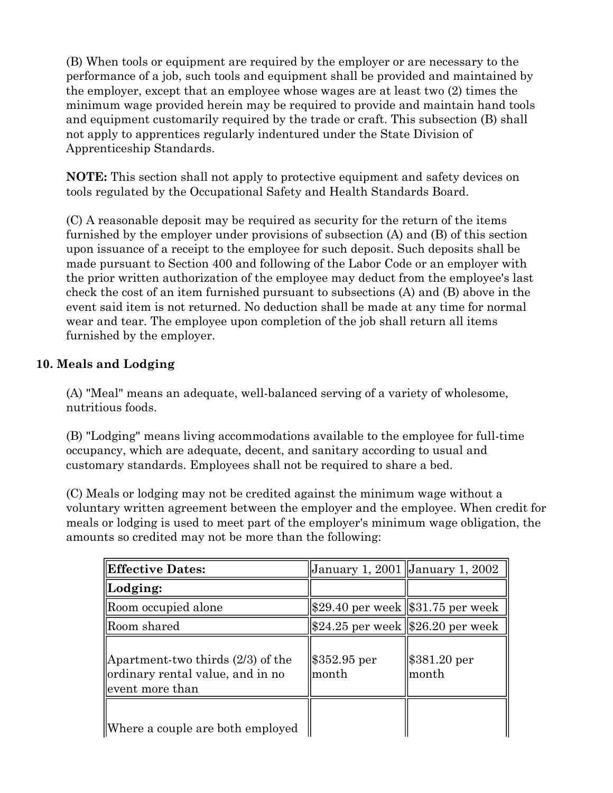(B) When tools or equipment are required by the employer or are necessary to the performance of a job, such tools and equipment shall be provided and maintained by the employer, except that an employee whose wages are at least two (2) times the minimum wage provided herein may be required to provide and maintain hand tools and equipment customarily required by the trade or craft. This subsection (B) shall not apply to apprentices regularly indentured under the State Division of Apprenticeship Standards.

**NOTE:** This section shall not apply to protective equipment and safety devices on tools regulated by the Occupational Safety and Health Standards Board.

(C) A reasonable deposit may be required as security for the return of the items furnished by the employer under provisions of subsection (A) and (B) of this section upon issuance of a receipt to the employee for such deposit. Such deposits shall be made pursuant to Section 400 and following of the Labor Code or an employer with the prior written authorization of the employee may deduct from the employee's last check the cost of an item furnished pursuant to subsections (A) and (B) above in the event said item is not returned. No deduction shall be made at any time for normal wear and tear. The employee upon completion of the job shall return all items furnished by the employer.

# **10. Meals and Lodging**

(A) "Meal" means an adequate, well-balanced serving of a variety of wholesome, nutritious foods.

(B) "Lodging" means living accommodations available to the employee for full-time occupancy, which are adequate, decent, and sanitary according to usual and customary standards. Employees shall not be required to share a bed.

(C) Meals or lodging may not be credited against the minimum wage without a voluntary written agreement between the employer and the employee. When credit for meals or lodging is used to meet part of the employer's minimum wage obligation, the amounts so credited may not be more than the following:

| <b>Effective Dates:</b>                                                                    | January 1, 2001 January 1, 2002 |                                       |
|--------------------------------------------------------------------------------------------|---------------------------------|---------------------------------------|
| Lodging:                                                                                   |                                 |                                       |
| Room occupied alone                                                                        |                                 | \$29.40 per week \$31.75 per week     |
| Room shared                                                                                |                                 | $\$24.25$ per week $\$26.20$ per week |
| Apartment-two thirds $(2/3)$ of the<br>ordinary rental value, and in no<br>event more than | $$352.95$ per<br>month          | \$381.20~per<br>month                 |
| Where a couple are both employed                                                           |                                 |                                       |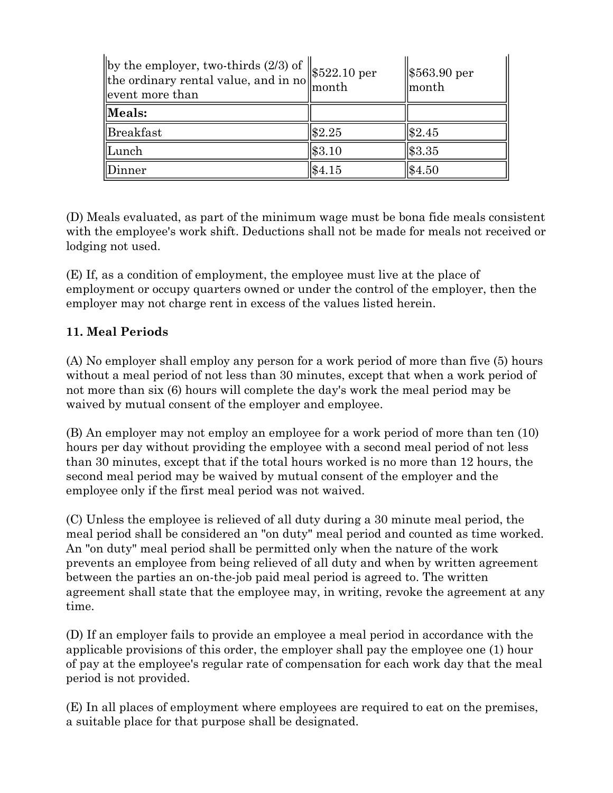| by the employer, two-thirds (2/3) of \$522.10 per the ordinary rental value, and in no month<br>event more than |        | $\frac{1}{563.90}$ per<br>month |
|-----------------------------------------------------------------------------------------------------------------|--------|---------------------------------|
| Meals:                                                                                                          |        |                                 |
| Breakfast                                                                                                       | \$2.25 | \$2.45                          |
| Lunch                                                                                                           | \$3.10 | \$3.35                          |
| Dinner                                                                                                          | \$4.15 | \$4.50                          |

(D) Meals evaluated, as part of the minimum wage must be bona fide meals consistent with the employee's work shift. Deductions shall not be made for meals not received or lodging not used.

(E) If, as a condition of employment, the employee must live at the place of employment or occupy quarters owned or under the control of the employer, then the employer may not charge rent in excess of the values listed herein.

# **11. Meal Periods**

(A) No employer shall employ any person for a work period of more than five (5) hours without a meal period of not less than 30 minutes, except that when a work period of not more than six (6) hours will complete the day's work the meal period may be waived by mutual consent of the employer and employee.

(B) An employer may not employ an employee for a work period of more than ten (10) hours per day without providing the employee with a second meal period of not less than 30 minutes, except that if the total hours worked is no more than 12 hours, the second meal period may be waived by mutual consent of the employer and the employee only if the first meal period was not waived.

(C) Unless the employee is relieved of all duty during a 30 minute meal period, the meal period shall be considered an "on duty" meal period and counted as time worked. An "on duty" meal period shall be permitted only when the nature of the work prevents an employee from being relieved of all duty and when by written agreement between the parties an on-the-job paid meal period is agreed to. The written agreement shall state that the employee may, in writing, revoke the agreement at any time.

(D) If an employer fails to provide an employee a meal period in accordance with the applicable provisions of this order, the employer shall pay the employee one (1) hour of pay at the employee's regular rate of compensation for each work day that the meal period is not provided.

(E) In all places of employment where employees are required to eat on the premises, a suitable place for that purpose shall be designated.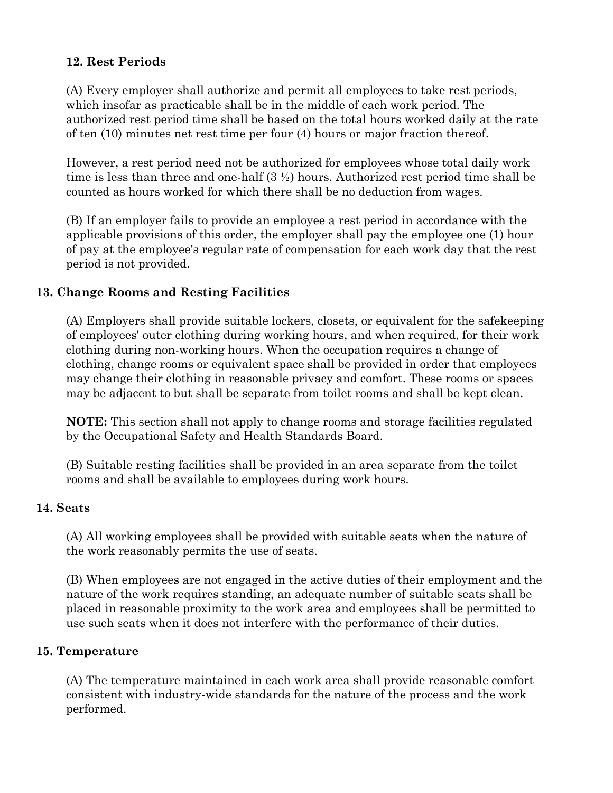## **12. Rest Periods**

(A) Every employer shall authorize and permit all employees to take rest periods, which insofar as practicable shall be in the middle of each work period. The authorized rest period time shall be based on the total hours worked daily at the rate of ten (10) minutes net rest time per four (4) hours or major fraction thereof.

However, a rest period need not be authorized for employees whose total daily work time is less than three and one-half  $(3 \frac{1}{2})$  hours. Authorized rest period time shall be counted as hours worked for which there shall be no deduction from wages.

(B) If an employer fails to provide an employee a rest period in accordance with the applicable provisions of this order, the employer shall pay the employee one (1) hour of pay at the employee's regular rate of compensation for each work day that the rest period is not provided.

## **13. Change Rooms and Resting Facilities**

(A) Employers shall provide suitable lockers, closets, or equivalent for the safekeeping of employees' outer clothing during working hours, and when required, for their work clothing during non-working hours. When the occupation requires a change of clothing, change rooms or equivalent space shall be provided in order that employees may change their clothing in reasonable privacy and comfort. These rooms or spaces may be adjacent to but shall be separate from toilet rooms and shall be kept clean.

**NOTE:** This section shall not apply to change rooms and storage facilities regulated by the Occupational Safety and Health Standards Board.

(B) Suitable resting facilities shall be provided in an area separate from the toilet rooms and shall be available to employees during work hours.

### **14. Seats**

(A) All working employees shall be provided with suitable seats when the nature of the work reasonably permits the use of seats.

(B) When employees are not engaged in the active duties of their employment and the nature of the work requires standing, an adequate number of suitable seats shall be placed in reasonable proximity to the work area and employees shall be permitted to use such seats when it does not interfere with the performance of their duties.

### **15. Temperature**

 performed. (A) The temperature maintained in each work area shall provide reasonable comfort consistent with industry-wide standards for the nature of the process and the work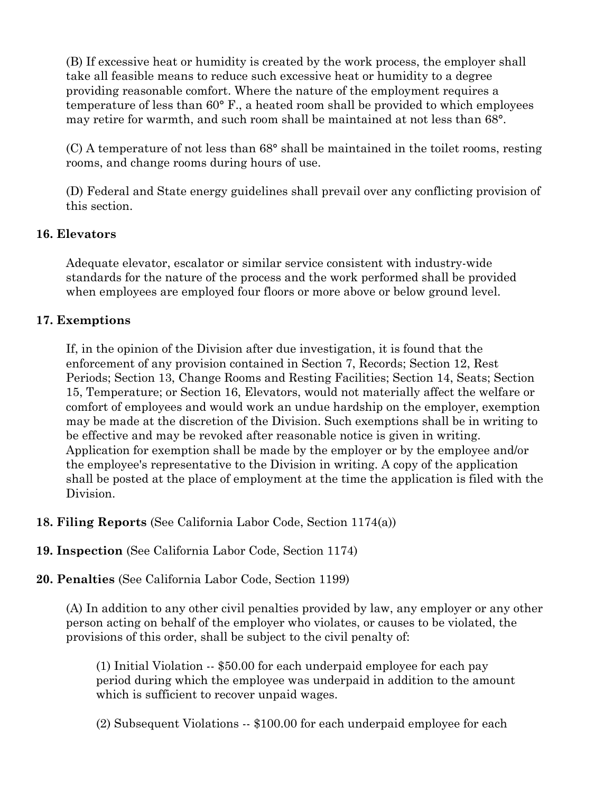(B) If excessive heat or humidity is created by the work process, the employer shall take all feasible means to reduce such excessive heat or humidity to a degree providing reasonable comfort. Where the nature of the employment requires a temperature of less than 60° F., a heated room shall be provided to which employees may retire for warmth, and such room shall be maintained at not less than 68°.

(C) A temperature of not less than 68° shall be maintained in the toilet rooms, resting rooms, and change rooms during hours of use.

(D) Federal and State energy guidelines shall prevail over any conflicting provision of this section.

## **16. Elevators**

Adequate elevator, escalator or similar service consistent with industry-wide standards for the nature of the process and the work performed shall be provided when employees are employed four floors or more above or below ground level.

## **17. Exemptions**

If, in the opinion of the Division after due investigation, it is found that the enforcement of any provision contained in Section 7, Records; Section 12, Rest Periods; Section 13, Change Rooms and Resting Facilities; Section 14, Seats; Section 15, Temperature; or Section 16, Elevators, would not materially affect the welfare or comfort of employees and would work an undue hardship on the employer, exemption may be made at the discretion of the Division. Such exemptions shall be in writing to be effective and may be revoked after reasonable notice is given in writing. Application for exemption shall be made by the employer or by the employee and/or the employee's representative to the Division in writing. A copy of the application shall be posted at the place of employment at the time the application is filed with the Division.

## **18. Filing Reports** (See California Labor Code, Section 1174(a))

# **19. Inspection** (See California Labor Code, Section 1174)

# **20. Penalties** (See California Labor Code, Section 1199)

(A) In addition to any other civil penalties provided by law, any employer or any other person acting on behalf of the employer who violates, or causes to be violated, the provisions of this order, shall be subject to the civil penalty of:

(1) Initial Violation -- \$50.00 for each underpaid employee for each pay period during which the employee was underpaid in addition to the amount which is sufficient to recover unpaid wages.

(2) Subsequent Violations -- \$100.00 for each underpaid employee for each